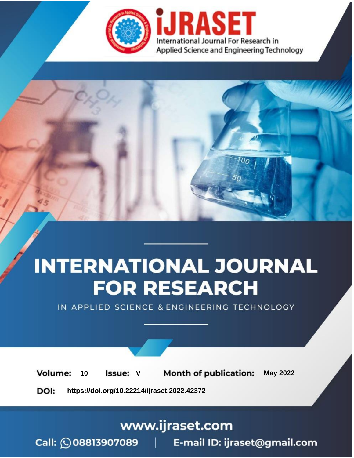

# **INTERNATIONAL JOURNAL FOR RESEARCH**

IN APPLIED SCIENCE & ENGINEERING TECHNOLOGY

Volume: **Month of publication: May 2022** 10 **Issue: V** 

DOI: https://doi.org/10.22214/ijraset.2022.42372

www.ijraset.com

Call: 008813907089 | E-mail ID: ijraset@gmail.com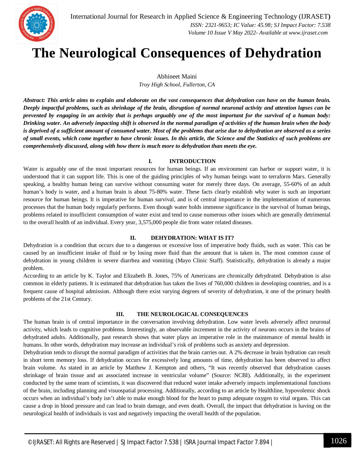

### **The Neurological Consequences of Dehydration**

Abhineet Maini *Troy High School, Fullerton, CA*

Abstract: This article aims to explain and elaborate on the vast consequences that dehydration can have on the human brain. Deeply impactful problems, such as shrinkage of the brain, disruption of normal neuronal activity and attention lapses can be prevented by engaging in an activity that is perhaps arguably one of the most important for the survival of a human body: Drinking water. An adversely impacting shift is observed in the normal paradigm of activities of the human brain when the body is deprived of a sufficient amount of consumed water. Most of the problems that arise due to dehydration are observed as a series of small events, which come together to have chronic issues. In this article, the Science and the Statistics of such problems are *comprehensively discussed, along with how there is much more to dehydration than meets the eye.*

#### **I. INTRODUCTION**

Water is arguably one of the most important resources for human beings. If an environment can harbor or support water, it is understood that it can support life. This is one of the guiding principles of why human beings want to terraform Mars. Generally speaking, a healthy human being can survive without consuming water for merely three days. On average, 55-60% of an adult human's body is water, and a human brain is about 75-80% water. These facts clearly establish why water is such an important resource for human beings. It is imperative for human survival, and is of central importance in the implementation of numerous processes that the human body regularly performs. Even though water holds immense significance in the survival of human beings, problems related to insufficient consumption of water exist and tend to cause numerous other issues which are generally detrimental to the overall health of an individual. Every year, 3,575,000 people die from water related diseases.

#### **II. DEHYDRATION: WHAT IS IT?**

Dehydration is a condition that occurs due to a dangerous or excessive loss of imperative body fluids, such as water. This can be caused by an insufficient intake of fluid or by losing more fluid than the amount that is taken in. The most common cause of dehydration in young children is severe diarrhea and vomiting (Mayo Clinic Staff). Statistically, dehydration is already a major problem.

According to an article by K. Taylor and Elizabeth B. Jones, 75% of Americans are chronically dehydrated. Dehydration is also common in elderly patients. It is estimated that dehydration has taken the lives of 760,000 children in developing countries, and is a frequent cause of hospital admission. Although there exist varying degrees of severity of dehydration, it one of the primary health problems of the 21st Century.

#### **III. THE NEUROLOGICAL CONSEQUENCES**

The human brain is of central importance in the conversation involving dehydration. Low water levels adversely affect neuronal activity, which leads to cognitive problems. Interestingly, an observable increment in the activity of neurons occurs in the brains of dehydrated adults. Additionally, past research shows that water plays an imperative role in the maintenance of mental health in humans. In other words, dehydration may increase an individual's risk of problems such as anxiety and depression.

Dehydration tends to disrupt the normal paradigm of activities that the brain carries out. A 2% decrease in brain hydration can result in short term memory loss. If dehydration occurs for excessively long amounts of time, dehydration has been observed to affect brain volume. As stated in an article by Matthew J. Kempton and others, "It was recently observed that dehydration causes shrinkage of brain tissue and an associated increase in ventricular volume" (Source: NCBI). Additionally, in the experiment conducted by the same team of scientists, it was discovered that reduced water intake adversely impacts implementational functions of the brain, including planning and visuospatial processing. Additionally, according to an article by Healthline, hypovolemic shock occurs when an individual's body isn't able to make enough blood for the heart to pump adequate oxygen to vital organs. This can cause a drop in blood pressure and can lead to brain damage, and even death. Overall, the impact that dehydration is having on the neurological health of individuals is vast and negatively impacting the overall health of the population.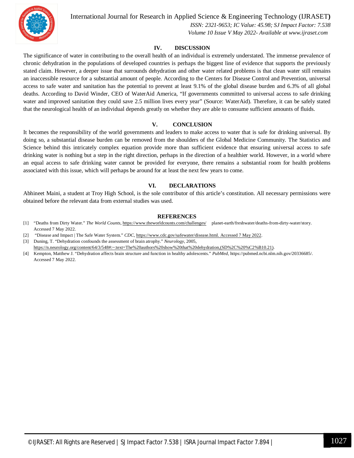

International Journal for Research in Applied Science & Engineering Technology (IJRASET**)**

 *ISSN: 2321-9653; IC Value: 45.98; SJ Impact Factor: 7.538 Volume 10 Issue V May 2022- Available at www.ijraset.com*

#### **IV. DISCUSSION**

The significance of water in contributing to the overall health of an individual is extremely understated. The immense prevalence of chronic dehydration in the populations of developed countries is perhaps the biggest line of evidence that supports the previously stated claim. However, a deeper issue that surrounds dehydration and other water related problems is that clean water still remains an inaccessible resource for a substantial amount of people. According to the Centers for Disease Control and Prevention, universal access to safe water and sanitation has the potential to prevent at least 9.1% of the global disease burden and 6.3% of all global deaths. According to David Winder, CEO of WaterAid America, "If governments committed to universal access to safe drinking water and improved sanitation they could save 2.5 million lives every year" (Source: WaterAid). Therefore, it can be safely stated that the neurological health of an individual depends greatly on whether they are able to consume sufficient amounts of fluids.

#### **V. CONCLUSION**

It becomes the responsibility of the world governments and leaders to make access to water that is safe for drinking universal. By doing so, a substantial disease burden can be removed from the shoulders of the Global Medicine Community. The Statistics and Science behind this intricately complex equation provide more than sufficient evidence that ensuring universal access to safe drinking water is nothing but a step in the right direction, perhaps in the direction of a healthier world. However, in a world where an equal access to safe drinking water cannot be provided for everyone, there remains a substantial room for health problems associated with this issue, which will perhaps be around for at least the next few years to come.

#### **VI. DECLARATIONS**

Abhineet Maini, a student at Troy High School, is the sole contributor of this article's constitution. All necessary permissions were obtained before the relevant data from external studies was used.

#### **REFERENCES**

- [1] "Deaths from Dirty Water." *The World Counts*, https://www.theworldcounts.com/challenges/ planet-earth/freshwater/deaths-from-dirty-water/story. Accessed 7 May 2022.
- [2] "Disease and Impact | The Safe Water System." *CDC*, https://www.cdc.gov/safewater/disease.html. Accessed 7 May 2022.
- [3] Duning, T. "Dehydration confounds the assessment of brain atrophy." *Neurology*, 2005,
- https://n.neurology.org/content/64/3/548#:~:text=The%20authors%20show%20that%20dehydration,(SD%2C%20%C2%B10.21).
- [4] Kempton, Matthew J. "Dehydration affects brain structure and function in healthy adolescents." *PubMed*, https://pubmed.ncbi.nlm.nih.gov/20336685/. Accessed 7 May 2022.